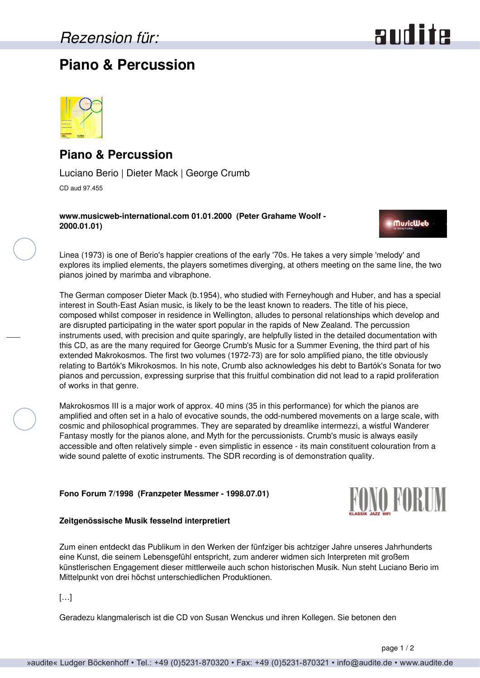# audite

### **Piano & Percussion**



### **Piano & Percussion**

Luciano Berio | Dieter Mack | George Crumb CD aud 97.455

**www.musicweb-international.com 01.01.2000 (Peter Grahame Woolf - 2000.01.01)**

**MuricWeb** 

Linea (1973) is one of Berio's happier creations of the early '70s. He takes a very simple 'melody' and explores its implied elements, the players sometimes diverging, at others meeting on the same line, the two pianos joined by marimba and vibraphone.

The German composer Dieter Mack (b.1954), who studied with Ferneyhough and Huber, and has a special interest in South-East Asian music, is likely to be the least known to readers. The title of his piece, composed whilst composer in residence in Wellington, alludes to personal relationships which develop and are disrupted participating in the water sport popular in the rapids of New Zealand. The percussion instruments used, with precision and quite sparingly, are helpfully listed in the detailed documentation with this CD, as are the many required for George Crumb's Music for a Summer Evening, the third part of his extended Makrokosmos. The first two volumes (1972-73) are for solo amplified piano, the title obviously relating to Bartók's Mikrokosmos. In his note, Crumb also acknowledges his debt to Bartók's Sonata for two pianos and percussion, expressing surprise that this fruitful combination did not lead to a rapid proliferation of works in that genre.

Makrokosmos III is a major work of approx. 40 mins (35 in this performance) for which the pianos are amplified and often set in a halo of evocative sounds, the odd-numbered movements on a large scale, with cosmic and philosophical programmes. They are separated by dreamlike intermezzi, a wistful Wanderer Fantasy mostly for the pianos alone, and Myth for the percussionists. Crumb's music is always easily accessible and often relatively simple - even simplistic in essence - its main constituent colouration from a wide sound palette of exotic instruments. The SDR recording is of demonstration quality.

#### **Fono Forum 7/1998 (Franzpeter Messmer - 1998.07.01)**



Zum einen entdeckt das Publikum in den Werken der fünfziger bis achtziger Jahre unseres Jahrhunderts eine Kunst, die seinem Lebensgefühl entspricht, zum anderer widmen sich Interpreten mit großem künstlerischen Engagement dieser mittlerweile auch schon historischen Musik. Nun steht Luciano Berio im Mittelpunkt von drei höchst unterschiedlichen Produktionen.

 $[\ldots]$ 

Geradezu klangmalerisch ist die CD von Susan Wenckus und ihren Kollegen. Sie betonen den

FONO FORUM